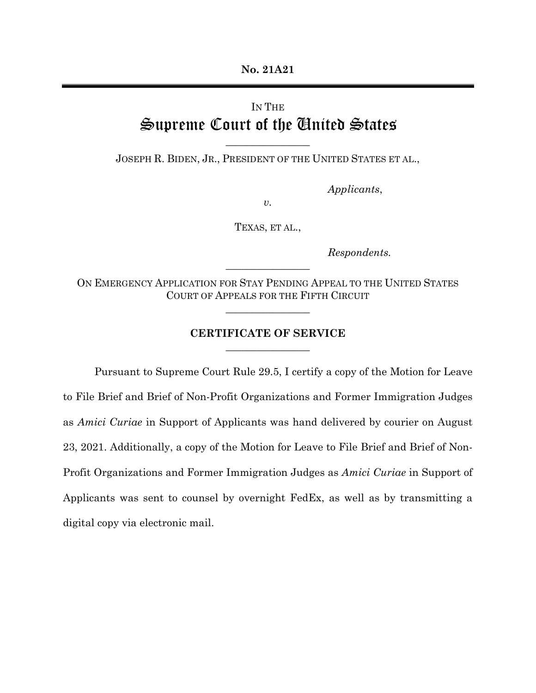**No. 21A21**

## IN THE Supreme Court of the United States

JOSEPH R. BIDEN, JR., PRESIDENT OF THE UNITED STATES ET AL.,

 $\frac{1}{2}$  , where  $\frac{1}{2}$ 

*Applicants*,

*v.*

TEXAS, ET AL.,

*Respondents.*

ON EMERGENCY APPLICATION FOR STAY PENDING APPEAL TO THE UNITED STATES COURT OF APPEALS FOR THE FIFTH CIRCUIT

 $\frac{1}{2}$  , where  $\frac{1}{2}$ 

 $\frac{1}{2}$  , where  $\frac{1}{2}$ 

## **CERTIFICATE OF SERVICE**  $\frac{1}{2}$  , where  $\frac{1}{2}$

Pursuant to Supreme Court Rule 29.5, I certify a copy of the Motion for Leave to File Brief and Brief of Non-Profit Organizations and Former Immigration Judges as *Amici Curiae* in Support of Applicants was hand delivered by courier on August 23, 2021. Additionally, a copy of the Motion for Leave to File Brief and Brief of Non-Profit Organizations and Former Immigration Judges as *Amici Curiae* in Support of Applicants was sent to counsel by overnight FedEx, as well as by transmitting a digital copy via electronic mail.